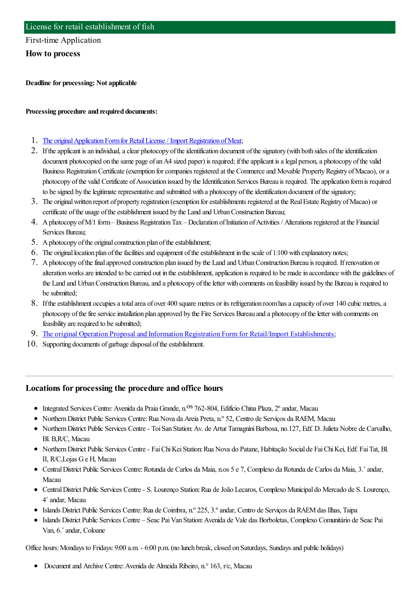### First-time Application

**How to process**

**Deadline for processing: Not applicable**

#### **Processing procedure and required documents:**

- 1. The original Application Form for Retail License / Import Registration of Meat;
- 2. If the applicant is an individual, a clear photocopy of the identification document of the signatory (with both sides of the identification document photocopied on the same page of an A4 sized paper) is required; if the applicant is a legal person, a photocopy of the valid Business Registration Certificate (exemption for companies registered at the Commerce and Movable Property Registry of Macao), or a photocopy of the valid Certificate of Association issued by the Identification Services Bureau is required. The application form is required to be signed by the legitimate representative and submitted with a photocopy of the identification document of the signatory;
- 3. The originalwritten report of property registration (exemption forestablishments registered at the RealEstate Registry ofMacao) or certificate of the usage of the establishment issued by the Land and Urban Construction Bureau;
- 4. A photocopy of M/1 form–Business Registration Tax Declaration of Initiation of Activities / Alterations registered at the Financial Services Bureau;
- 5. A photocopy of the original construction plan of the establishment;
- 6. The original location plan of the facilities and equipment of the establishment in the scale of  $1:100$  with explanatory notes;
- 7. Aphotocopy ofthefinalapproved construction plan issued by the Land and UrbanConstructionBureau is required. Ifrenovation or alteration works are intended to be carried out in the establishment, application is required to be made in accordance with the guidelines of the Land and Urban Construction Bureau, and a photocopy of the letter with comments on feasibility issued by the Bureau is required to be submitted:
- 8. If the establishment occupies a total area of over 400 square metres or its refrigeration room has a capacity of over 140 cubic metres, a photocopy of the fire service installation plan approved by the Fire Services Bureau and a photocopy of the letter with comments on feasibility are required to be submitted;
- 9. The original Operation Proposal and Information Registration Form for Retail/Import [Establishments](https://www.iam.gov.mo/c/pdf/eformDetail/PDF424);
- 10. Supporting documents of garbage disposal of the establishment.

### **Locations for processing the procedure and office hours**

- Integrated Services Centre: Avenida da Praia Grande, n.<sup>OS</sup> 762-804, Edifício China Plaza, 2° andar, Macau
- Northern District Public Services Centre: Rua Nova da Areia Preta, n.º 52, Centro de Serviços da RAEM, Macau
- NorthernDistrict Public Services Centre- ToiSan Station:Av. de Artur TamagniniBarbosa, no.127, Edf. D. Julieta Nobre de Carvalho, Bl. B,R/C, Macau
- NorthernDistrict Public Services Centre- FaiChiKeiStation:Rua Nova do Patane, Habitação Social de FaiChiKei, Edf. FaiTat, Bl. II, R/C,Lojas Ge H, Macau
- CentralDistrict Public Services Centre:Rotunda de Carlos da Maia, n.os 5 e 7, Complexo da Rotunda de Carlos da Maia, 3.˚andar, Macau
- CentralDistrict Public Services Centre- S. Lourenço Station:Rua deJoão Lecaros, Complexo Municipal do Mercado de S. Lourenço, 4˚andar, Macau
- Islands District Public Services Centre:Rua de Coimbra, n.º 225, 3.ºandar, Centro de Serviços da RAEMdas Ilhas, Taipa
- Islands District Public Services Centre Seac PaiVan Station:Avenida de Vale das Borboletas, Complexo Comunitário de Seac Pai Van, 6.˚andar, Coloane

Office hours: Mondays to Fridays: 9:00 a.m. - 6:00 p.m. (no lunch break, closed on Saturdays, Sundays and public holidays)

• Document and Archive Centre: Avenida de Almeida Ribeiro, n.º 163, r/c, Macau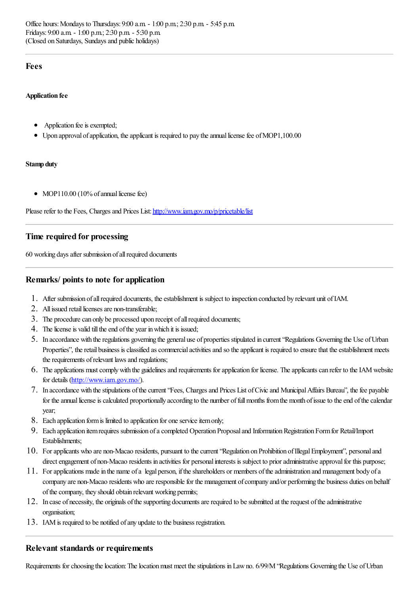### **Fees**

#### **Application fee**

- Application fee is exempted;
- Upon approval of application, the applicant is required to pay the annual license fee of MOP1,100.00

#### **Stamp duty**

• MOP110.00 (10% of annual license fee)

Please refer to the Fees, Charges and Prices List: <http://www.iam.gov.mo/p/pricetable/list>

## **Time required for processing**

60 working days after submission of all required documents

## **Remarks/ points to note for application**

- 1. After submission of all required documents, the establishment is subject to inspection conducted by relevant unit of IAM.
- 2. All issued retail licenses are non-transferable;
- 3. The procedure can only be processed upon receipt of all required documents;
- 4. The license is valid till the end of the year in which it is issued;
- 5. In accordance with theregulations governing the general use of properties stipulated in current"Regulations Governing the Use ofUrban Properties", the retail business is classified as commercial activities and so the applicant is required to ensure that the establishment meets the requirements of relevant laws and regulations;
- 6. The applications must comply with the guidelines and requirements for application for license. The applicants can refer to the IAM website for details [\(http://www.iam.gov.mo/](http://www.iam.gov.mo/)).
- 7. In accordance with thestipulations ofthecurrent"Fees, Chargesand Prices List ofCivicand MunicipalAffairs Bureau", thefee payable for the annual license is calculated proportionally according to the number of full months from the month of issue to the end of the calendar year;
- 8. Each application form is limited to application for one service item only;
- 9. Each application itemrequires submission ofacompleted Operation Proposaland InformationRegistration Formfor Retail/Import Establishments;
- 10. For applicants who are non-Macao residents, pursuant to the current "Regulation on Prohibition of Illegal Employment", personal and direct engagement of non-Macao residents in activities for personal interests is subject to prior administrative approval for this purpose;
- 11. Forapplications madein the name ofa legal person, iftheshareholders or members oftheadministration and management body ofa company are non-Macao residents who are responsible for the management of company and/or performing the business duties on behalf of the company, they should obtain relevant working permits;
- 12. In case of necessity, the originals of the supporting documents are required to be submitted at the request of the administrative organisation;
- 13. IAM is required to be notified of any update to the business registration.

### **Relevant standards or requirements**

Requirements for choosing the location: The location must meet the stipulations in Law no. 6/99/M "Regulations Governing the Use of Urban